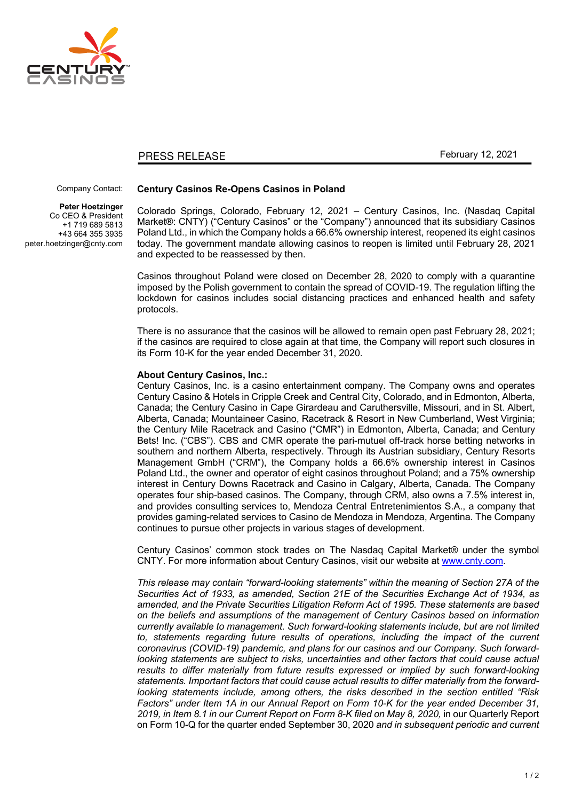

## PRESS RELEASE

February 12, 2021

## Company Contact:

**Peter Hoetzinger** Co CEO & President +1 719 689 5813 +43 664 355 3935 peter.hoetzinger@cnty.com

## **Century Casinos Re-Opens Casinos in Poland**

Colorado Springs, Colorado, February 12, 2021 – Century Casinos, Inc. (Nasdaq Capital Market®: CNTY) ("Century Casinos" or the "Company") announced that its subsidiary Casinos Poland Ltd., in which the Company holds a 66.6% ownership interest, reopened its eight casinos today. The government mandate allowing casinos to reopen is limited until February 28, 2021 and expected to be reassessed by then.

Casinos throughout Poland were closed on December 28, 2020 to comply with a quarantine imposed by the Polish government to contain the spread of COVID-19. The regulation lifting the lockdown for casinos includes social distancing practices and enhanced health and safety protocols.

There is no assurance that the casinos will be allowed to remain open past February 28, 2021; if the casinos are required to close again at that time, the Company will report such closures in its Form 10-K for the year ended December 31, 2020.

## **About Century Casinos, Inc.:**

Century Casinos, Inc. is a casino entertainment company. The Company owns and operates Century Casino & Hotels in Cripple Creek and Central City, Colorado, and in Edmonton, Alberta, Canada; the Century Casino in Cape Girardeau and Caruthersville, Missouri, and in St. Albert, Alberta, Canada; Mountaineer Casino, Racetrack & Resort in New Cumberland, West Virginia; the Century Mile Racetrack and Casino ("CMR") in Edmonton, Alberta, Canada; and Century Bets! Inc. ("CBS"). CBS and CMR operate the pari-mutuel off-track horse betting networks in southern and northern Alberta, respectively. Through its Austrian subsidiary, Century Resorts Management GmbH ("CRM"), the Company holds a 66.6% ownership interest in Casinos Poland Ltd., the owner and operator of eight casinos throughout Poland; and a 75% ownership interest in Century Downs Racetrack and Casino in Calgary, Alberta, Canada. The Company operates four ship-based casinos. The Company, through CRM, also owns a 7.5% interest in, and provides consulting services to, Mendoza Central Entretenimientos S.A., a company that provides gaming-related services to Casino de Mendoza in Mendoza, Argentina. The Company continues to pursue other projects in various stages of development.

Century Casinos' common stock trades on The Nasdaq Capital Market® under the symbol CNTY. For more information about Century Casinos, visit our website at www.cnty.com.

*This release may contain "forward-looking statements" within the meaning of Section 27A of the Securities Act of 1933, as amended, Section 21E of the Securities Exchange Act of 1934, as amended, and the Private Securities Litigation Reform Act of 1995. These statements are based on the beliefs and assumptions of the management of Century Casinos based on information currently available to management. Such forward-looking statements include, but are not limited to, statements regarding future results of operations, including the impact of the current coronavirus (COVID-19) pandemic, and plans for our casinos and our Company. Such forward*looking statements are subject to risks, uncertainties and other factors that could cause actual results to differ materially from future results expressed or implied by such forward-looking *statements. Important factors that could cause actual results to differ materially from the forwardlooking statements include, among others, the risks described in the section entitled "Risk Factors" under Item 1A in our Annual Report on Form 10-K for the year ended December 31, 2019, in Item 8.1 in our Current Report on Form 8-K filed on May 8, 2020,* in our Quarterly Report on Form 10-Q for the quarter ended September 30, 2020 *and in subsequent periodic and current*